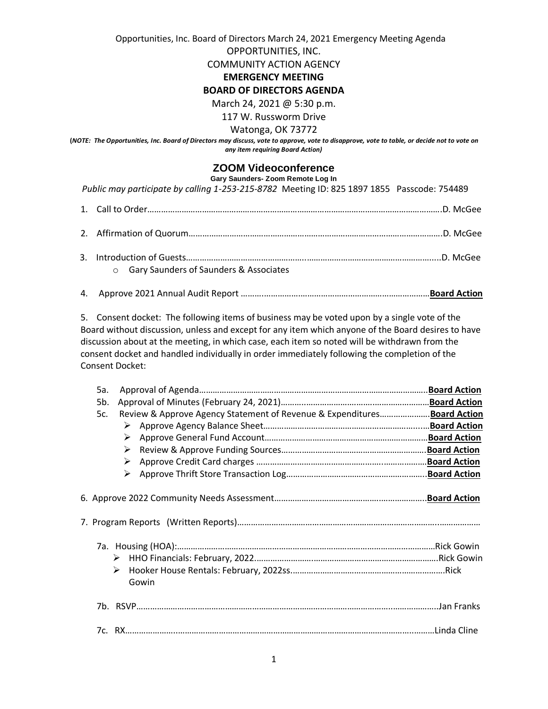Opportunities, Inc. Board of Directors March 24, 2021 Emergency Meeting Agenda

OPPORTUNITIES, INC.

COMMUNITY ACTION AGENCY

## **EMERGENCY MEETING**

## **BOARD OF DIRECTORS AGENDA**

March 24, 2021 @ 5:30 p.m.

117 W. Russworm Drive

Watonga, OK 73772

**(***NOTE: The Opportunities, Inc. Board of Directors may discuss, vote to approve, vote to disapprove, vote to table, or decide not to vote on any item requiring Board Action)*

## **ZOOM Videoconference**

**Gary Saunders- Zoom Remote Log In**

 *Public may participate by calling 1-253-215-8782* Meeting ID: 825 1897 1855 Passcode: 754489

- o Gary Saunders of Saunders & Associates
- 4. Approve 2021 Annual Audit Report ……….…………….…………………………………………………**Board Action**

5. Consent docket: The following items of business may be voted upon by a single vote of the Board without discussion, unless and except for any item which anyone of the Board desires to have discussion about at the meeting, in which case, each item so noted will be withdrawn from the consent docket and handled individually in order immediately following the completion of the Consent Docket:

| 5a. |        |                                                                         |  |
|-----|--------|-------------------------------------------------------------------------|--|
| 5b. |        |                                                                         |  |
| 5c. |        | Review & Approve Agency Statement of Revenue & ExpendituresBoard Action |  |
|     | ➤      |                                                                         |  |
|     | ➤      |                                                                         |  |
|     | ➤      |                                                                         |  |
|     | ➤      |                                                                         |  |
|     | ➤      |                                                                         |  |
|     | ➤<br>➤ | Gowin                                                                   |  |
|     |        |                                                                         |  |
|     |        |                                                                         |  |